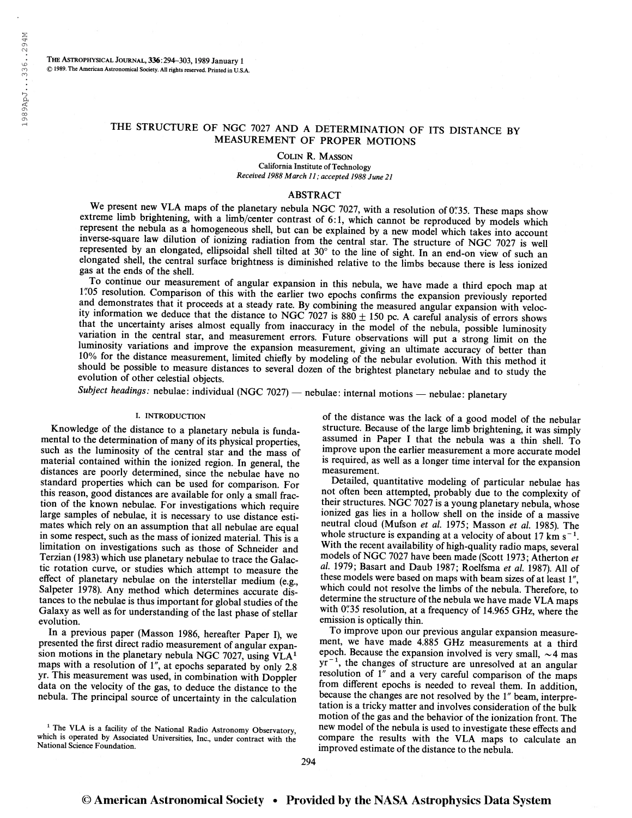THE ASTROPHYSICAL JOURNAL, 336:294-303, 1989 January 1 © 1989. The American Astronomical Society. All rights reserved. Printed in U.S.A.

# THE STRUCTURE OF NGC 7027 AND A DETERMINATION OF ITS DISTANCE BY MEASUREMENT OF PROPER MOTIONS

Colin R. Masson California Institute of Technology Received 1988 March 11 ; accepted 1988 June 21

### ABSTRACT

We present new VLA maps of the planetary nebula NGC 7027, with a resolution of 0''.35. These maps show extreme limb brightening, with a limb/center contrast of 6:1, which cannot be reproduced by models which represent the nebula as a homogeneous shell, but can be explained by a new model which takes into account inverse-square law dilution of ionizing radiation from the central star. The structure of NGC 7027 is well represented by an elongated, ellipsoidal shell tilted at 30° to the line of sight. In an end-on view of such an elongated shell, the central surface brightness is diminished relative to the limbs because there is less ionized gas at the ends of the shell.

To continue our measurement of angular expansion in this nebula, we have made a third epoch map at <sup>1</sup>.05 resolution. Comparison of this with the earlier two epochs confirms the expansion previously reported and demonstrates that it proceeds at a steady rate. By combining the measured angular expansion with veloc-<br>and d and demonstrates that it proceeds at a steady rate. By combining the measured angular expansion with velocity information we deduce that the distance to NGC 7027 is 880  $\pm$  150 pc. A careful analysis of errors shows that the uncertainty arises almost equally from inaccuracy in the model of the nebula, possible luminosity variation in the central star, and measurement errors. Future observations will put a strong limit on the luminosity variations and improve the expansion measurement, giving an ultimate accuracy of better than 10% for the distance measurement, limited chiefly by modeling of the nebular evolution. With this method it should be possible to measure distances to several dozen of the brightest planetary nebulae and to study the evolution of other celestial objects.

Subject headings: nebulae: individual (NGC 7027) — nebulae: internal motions — nebulae: planetary

#### I. INTRODUCTION

Knowledge of the distance to a planetary nebula is fundamental to the determination of many of its physical properties, such as the luminosity of the central star and the mass of material contained within the ionized region. In general, the distances are poorly determined, since the nebulae have no standard properties which can be used for comparison. For this reason, good distances are available for only a small fraction of the known nebulae. For investigations which require large samples of nebulae, it is necessary to use distance estimates which rely on an assumption that all nebulae are equal in some respect, such as the mass of ionized material. This is a limitation on investigations such as those of Schneider and Terzian (1983) which use planetary nebulae to trace the Galactic rotation curve, or studies which attempt to measure the effect of planetary nebulae on the interstellar medium (e.g., Salpeter 1978). Any method which determines accurate distances to the nebulae is thus important for global studies of the Galaxy as well as for understanding of the last phase of stellar evolution.

In a previous paper (Masson 1986, hereafter Paper I), we presented the first direct radio measurement of angular expansion motions in the planetary nebula NGC 7027, using  $VLA<sup>1</sup>$ maps with a resolution of 1", at epochs separated by only 2.8 yr. This measurement was used, in combination with Doppler data on the velocity of the gas, to deduce the distance to the nebula. The principal source of uncertainty in the calculation

<sup>1</sup> The VLA is a facility of the National Radio Astronomy Observatory, which is operated by Associated Universities, Inc., under contract with the National Science Foundation.

of the distance was the lack of a good model of the nebular structure. Because of the large limb brightening, it was simply assumed in Paper I that the nebula was a thin shell. To improve upon the earlier measurement a more accurate model is required, as well as a longer time interval for the expansion measurement.

Detailed, quantitative modeling of particular nebulae has not often been attempted, probably due to the complexity of their structures. NGC 7027 is a young planetary nebula, whose ionized gas lies in a hollow shell on the inside of a massive neutral cloud (Mufson et al. 1975; Masson et al. 1985). The whole structure is expanding at a velocity of about 17 km  $s^{-1}$ . With the recent availability of high-quality radio maps, several models of NGC 7027 have been made (Scott 1973; Atherton et al. 1979; Basart and Daub 1987; Roelfsma et al. 1987). All of these models were based on maps with beam sizes of at least 1", which could not resolve the limbs of the nebula. Therefore, to determine the structure of the nebula we have made VLA maps with 0".35 resolution, at a frequency of 14.965 GHz, where the emission is optically thin.

To improve upon our previous angular expansion measurement, we have made 4.885 GHz measurements at a third epoch. Because the expansion involved is very small,  $\sim$  4 mas epoch. Because the expansion involved is very small,  $\sim$ 4 mas yr<sup>-1</sup>, the changes of structure are unresolved at an angular resolution of  $1$ <sup>"</sup> and a very careful comparison of the maps from different epochs is needed to reveal them. In addition, because the changes are not resolved by the 1" beam, interpretation is a tricky matter and involves consideration of the bulk motion of the gas and the behavior of the ionization front. The new model of the nebula is used to investigate these effects and compare the results with the VLA maps to calculate an improved estimate of the distance to the nebula.

294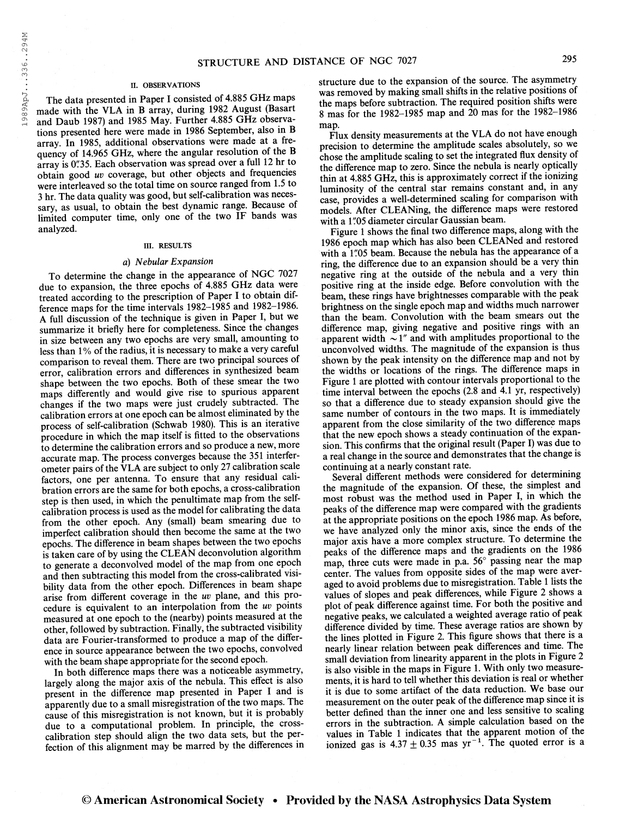#### II. OBSERVATIONS

The data presented in Paper I consisted of 4.885 GHz maps made with the VLA in B array, during 1982 August (Basart and Daub 1987) and 1985 May. Further 4.885 GHz observations presented here were made in 1986 September, also in B array. In 1985, additional observations were made at a frequency of 14.965 GHz, where the angular resolution of the B array is 0"35. Each observation was spread over a full 12 hr to obtain good uv coverage, but other objects and frequencies were interleaved so the total time on source ranged from 1.5 to 3 hr. The data quality was good, but self-calibration was necessary, as usual, to obtain the best dynamic range. Because of limited computer time, only one of the two IF bands was analyzed.

#### in. RESULTS

#### a) Nebular Expansion

To determine the change in the appearance of NGC 7027 due to expansion, the three epochs of 4.885 GHz data were treated according to the prescription of Paper I to obtain difference maps for the time intervals 1982-1985 and 1982-1986. A full discussion of the technique is given in Paper I, but we summarize it briefly here for completeness. Since the changes in size between any two epochs are very small, amounting to less than 1% of the radius, it is necessary to make a very careful comparison to reveal them. There are two principal sources of error, calibration errors and differences in synthesized beam shape between the two epochs. Both of these smear the two maps differently and would give rise to spurious apparent changes if the two maps were just crudely subtracted. The calibration errors at one epoch can be almost eliminated by the process of self-calibration (Schwab 1980). This is an iterative procedure in which the map itself is fitted to the observations to determine the calibration errors and so produce a new, more accurate map. The process converges because the 351 interferometer pairs of the VLA are subject to only 27 calibration scale factors, one per antenna. To ensure that any residual calibration errors are the same for both epochs, a cross-calibration step is then used, in which the penultimate map from the selfcalibration process is used as the model for calibrating the data from the other epoch. Any (small) beam smearing due to imperfect calibration should then become the same at the two epochs. The difference in beam shapes between the two epochs is taken care of by using the CLEAN deconvolution algorithm to generate a deconvolved model of the map from one epoch and then subtracting this model from the cross-calibrated visibility data from the other epoch. Differences in beam shape arise from different coverage in the uv plane, and this procedure is equivalent to an interpolation from the uv points measured at one epoch to the (nearby) points measured at the other, followed by subtraction. Finally, the subtracted visibility data are Fourier-transformed to produce a map of the difference in source appearance between the two epochs, convolved with the beam shape appropriate for the second epoch.

In both difference maps there was a noticeable asymmetry, largely along the major axis of the nebula. This effect is also present in the difference map presented in Paper I and is apparently due to a small misregistration of the two maps. The cause of this misregistration is not known, but it is probably due to a computational problem. In principle, the crosscalibration step should align the two data sets, but the perfection of this alignment may be marred by the differences in structure due to the expansion of the source. The asymmetry was removed by making small shifts in the relative positions of the maps before subtraction. The required position shifts were 8 mas for the 1982-1985 map and 20 mas for the 1982-1986 map.

Flux density measurements at the VLA do not have enough precision to determine the amplitude scales absolutely, so we chose the amplitude scaling to set the integrated flux density of the difference map to zero. Since the nebula is nearly optically thin at 4.885 GHz, this is approximately correct if the ionizing luminosity of the central star remains constant and, in any case, provides a well-determined scaling for comparison with models. After CLEANing, the difference maps were restored with a 1"05 diameter circular Gaussian beam.

Figure <sup>1</sup> shows the final two difference maps, along with the 1986 epoch map which has also been CLEANed and restored with a 1"05 beam. Because the nebula has the appearance of a ring, the difference due to an expansion should be a very thin negative ring at the outside of the nebula and a very thin positive ring at the inside edge. Before convolution with the beam, these rings have brightnesses comparable with the peak brightness on the single epoch map and widths much narrower than the beam. Convolution with the beam smears out the difference map, giving negative and positive rings with an apparent width  $\sim 1''$  and with amplitudes proportional to the unconvolved widths. The magnitude of the expansion is thus shown by the peak intensity on the difference map and not by the widths or locations of the rings. The difference maps in Figure <sup>1</sup> are plotted with contour intervals proportional to the time interval between the epochs (2.8 and 4.1 yr, respectively) so that a difference due to steady expansion should give the same number of contours in the two maps. It is immediately apparent from the close similarity of the two difference maps that the new epoch shows a steady continuation of the expansion. This confirms that the original result (Paper I) was due to a real change in the source and demonstrates that the change is continuing at a nearly constant rate.

Several different methods were considered for determining the magnitude of the expansion. Of these, the simplest and most robust was the method used in Paper I, in which the peaks of the difference map were compared with the gradients at the appropriate positions on the epoch 1986 map. As before, we have analyzed only the minor axis, since the ends of the major axis have a more complex structure. To determine the peaks of the difference maps and the gradients on the 1986 map, three cuts were made in p.a. 56° passing near the map center. The values from opposite sides of the map were averaged to avoid problems due to misregistration. Table <sup>1</sup> lists the values of slopes and peak differences, while Figure 2 shows a plot of peak difference against time. For both the positive and negative peaks, we calculated a weighted average ratio of peak difference divided by time. These average ratios are shown by the lines plotted in Figure 2. This figure shows that there is a nearly linear relation between peak differences and time. The small deviation from linearity apparent in the plots in Figure 2 is also visible in the maps in Figure 1. With only two measurements, it is hard to tell whether this deviation is real or whether it is due to some artifact of the data reduction. We base our measurement on the outer peak of the difference map since it is better defined than the inner one and less sensitive to scaling errors in the subtraction. A simple calculation based on the values in Table <sup>1</sup> indicates that the apparent motion of the values in Table 1 indicates that the apparent motion of the ionized gas is  $4.37 \pm 0.35$  mas  $yr^{-1}$ . The quoted error is a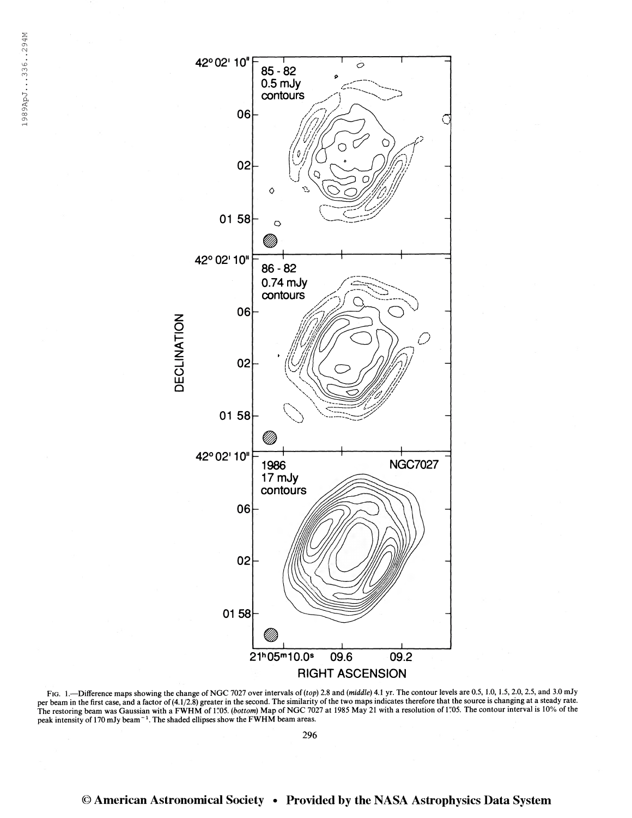

FIG. 1.—Difference maps showing the change of NGC 7027 over intervals of (top) 2.8 and (middle) 4.1 yr. The contour levels are 0.5, 1.0, 1.5, 2.0, 2.5, and 3.0 mJy per beam in the first case, and a factor of (4.1/2.8) greater in the second. The similarity of the two maps indicates therefore that the source is changing at a steady rate.<br>The restoring beam was Gaussian with a FWHM of 1 peak intensity of 170 mJy beam<sup>-1</sup>. The shaded ellipses show the FWHM beam areas.

296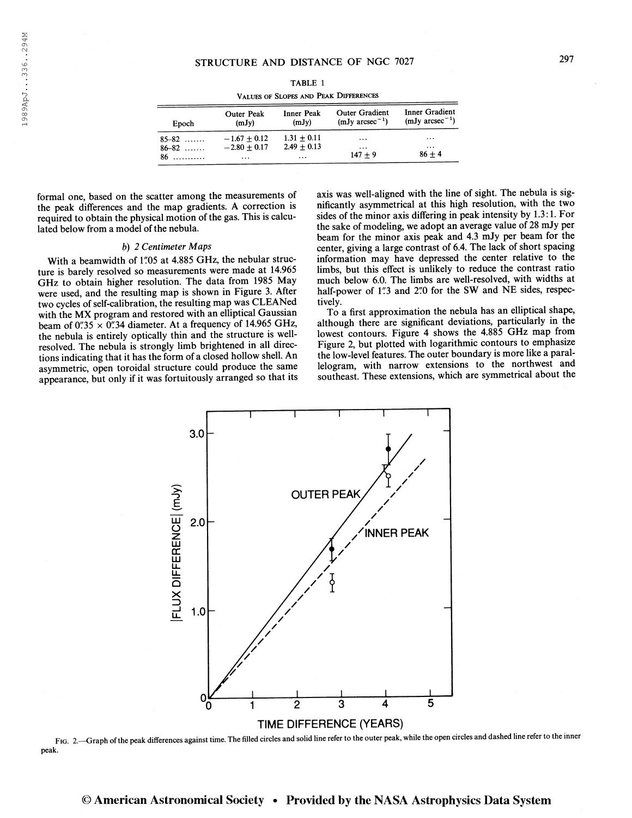| ۰. |  |
|----|--|
|    |  |

|                        |                                      |                                       | STRUCTURE AND DISTANCE OF NGC 7027        |                                               | 297 |
|------------------------|--------------------------------------|---------------------------------------|-------------------------------------------|-----------------------------------------------|-----|
|                        |                                      | TABLE 1                               |                                           |                                               |     |
|                        |                                      | VALUES OF SLOPES AND PEAK DIFFERENCES |                                           |                                               |     |
| Epoch                  | Outer Peak<br>(mJy)                  | <b>Inner Peak</b><br>(mJy)            | <b>Outer Gradient</b><br>$(mJy arcsec-1)$ | <b>Inner Gradient</b><br>$(mJy \arcsec^{-1})$ |     |
| $85 - 82$<br>$86 - 82$ | $-1.67 \pm 0.12$<br>$-2.80 \pm 0.17$ | $1.31 \pm 0.11$<br>$2.49 \pm 0.13$    | $\cdots$<br>$\cdots$                      | .<br>$\cdots$                                 |     |

TABLE <sup>1</sup> Values of Slopes and Peak Differences

formal one, based on the scatter among the measurements of the peak differences and the map gradients. A correction is required to obtain the physical motion of the gas. This is calculated below from a model of the nebula.

#### b) 2 Centimeter Maps

With a beamwidth of 1"05 at 4.885 GHz, the nebular structure is barely resolved so measurements were made at 14.965 GHz to obtain higher resolution. The data from 1985 May were used, and the resulting map is shown in Figure 3. After two cycles of self-calibration, the resulting map was CLEANed with the MX program and restored with an elliptical Gaussian beam of  $0''35 \times 0''34$  diameter. At a frequency of 14.965 GHz, the nebula is entirely optically thin and the structure is wellresolved. The nebula is strongly limb brightened in all directions indicating that it has the form of a closed hollow shell. An asymmetric, open toroidal structure could produce the same appearance, but only if it was fortuitously arranged so that its axis was well-aligned with the line of sight. The nebula is significantly asymmetrical at this high resolution, with the two sides of the minor axis differing in peak intensity by 1.3:1. For the sake of modeling, we adopt an average value of 28 mJy per beam for the minor axis peak and 4.3 mJy per beam for the center, giving a large contrast of 6.4. The lack of short spacing information may have depressed the center relative to the limbs, but this effect is unlikely to reduce the contrast ratio much below 6.0. The limbs are well-resolved, with widths at half-power of 1"3 and 2"0 for the SW and NE sides, respectively.

To a first approximation the nebula has an elliptical shape, although there are significant deviations, particularly in the lowest contours. Figure 4 shows the 4.885 GHz map from Figure 2, but plotted with logarithmic contours to emphasize the low-level features. The outer boundary is more like a parallelogram, with narrow extensions to the northwest and southeast. These extensions, which are symmetrical about the



Fig. 2.—Graph ofthe peak differences against time. The filled circles and solid line refer to the outer peak, while the open circles and dashed line refer to the inner peak.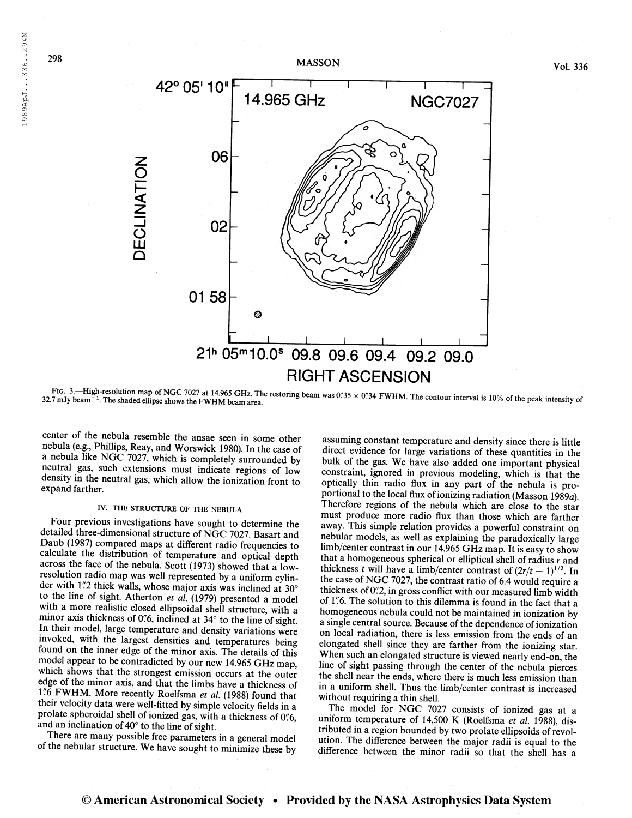s ^r<sup>1</sup>



32.7 mJy beam<sup>-1</sup>. The shaded ellipse shows the FWHM beam area. FIG. 3.—High-resolution map of NGC 7027 at 14.965 GHz. The restoring beam was 0'.'35 x 0''.34 FWHM. The contour interval is 10% of the peak intensity of 32.7 mJy beam <sup>- 1</sup>. The shaded ellipse shows the FWHM beam area

**RIGHT ASCENSION** 

21h 05m10.0° 09.8 09.6 09.4

center of the nebula resemble the ansae seen in some other nebula (e.g., Phillips, Reay, and Worswick 1980). In the case of a nebula like NGC 7027, which is completely surrounded by neutral gas, such extensions must indicate regions of low density in the neutral gas, which allow the ionization front to expand farther.

0158

Ø

 $\overline{\mathsf{O}}$ 

O LU Q

## IV. THE STRUCTURE OF THE NEBULA

Four previous investigations have sought to determine the detailed three-dimensional structure of NGC 7027. Basart and Daub (1987) compared maps at different radio frequencies to calculate the distribution of temperature and optical depth across the face of the nebula. Scott (1973) showed that a lowresolution radio map was well represented by a uniform cylinder with 1.'2 thick walls, whose major axis was inclined at  $30^{\circ}$ to the line of sight. Atherton et al. (1979) presented a model with a more realistic closed ellipsoidal shell structure, with a minor axis thickness of 0"6, inclined at 34° to the line of sight. In their model, large temperature and density variations were invoked, with the largest densities and temperatures being found on the inner edge of the minor axis. The details of this model appear to be contradicted by our new 14.965 GHz map, which shows that the strongest emission occurs at the outer, edge of the minor axis, and that the limbs have a thickness of 1"6 FWHM. More recently Roelfsma et al. (1988) found that their velocity data were well-fitted by simple velocity fields in a prolate spheroidal shell of ionized gas, with a thickness of 0.6, and an inclination of  $40^{\circ}$  to the line of sight.

There are many possible free parameters in a general model of the nebular structure. We have sought to minimize these by

assuming constant temperature and density since there is little direct evidence for large variations of these quantities in the bulk of the gas. We have also added one important physical constraint, ignored in previous modeling, which is that the optically thin radio flux in any part of the nebula is proportional to the local flux of ionizing radiation (Masson 1989a). Therefore regions of the nebula which are close to the star must produce more radio flux than those which are farther away. This simple relation provides a powerful constraint on nebular models, as well as explaining the paradoxically large limb/center contrast in our 14.965 GHz map. It is easy to show that a homogeneous spherical or elliptical shell of radius  $r$  and that a nomogeneous spherical or elliptical shell of radius r and<br>thickness t will have a limb/center contrast of  $(2r/t - 1)^{1/2}$ . In the case of NGC 7027, the contrast ratio of 6.4 would require a thickness of 0".2, in gross conflict with our measured limb width of 1"6. The solution to this dilemma is found in the fact that a homogeneous nebula could not be maintained in ionization by a single central source. Because of the dependence of ionization on local radiation, there is less emission from the ends of an elongated shell since they are farther from the ionizing star. When such an elongated structure is viewed nearly end-on, the line of sight passing through the center of the nebula pierces the shell near the ends, where there is much less emission than in a uniform shell. Thus the limb/center contrast is increased without requiring a thin shell.

09.2 09.0

The model for NGC 7027 consists of ionized gas at a uniform temperature of 14,500 K (Roelfsma et al. 1988), distributed in a region bounded by two prolate ellipsoids of revolution. The difference between the major radii is equal to the difference between the minor radii so that the shell has a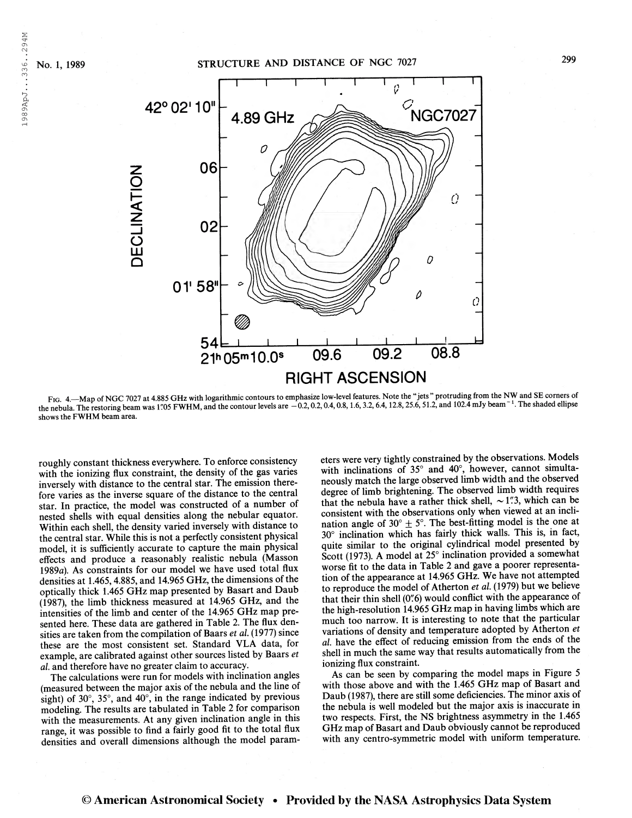1989ApJ...336..294M



FIG. 4. Map of NGC 7027 at 4.885 GHz with logarithmic contours to emphasize low-level features. Note the "jets" protruding from the NW and SE corners of the nebula. The restoring beam was 1'05 FWHM, and the contour levels are  $-0.2, 0.2, 0.4, 0.8, 1.6, 3.2, 6.4, 12.8, 25.6, 51.2,$  and 102.4 mJy beam<sup>-1</sup>. The shaded ellipse shows the FWHM beam area.

roughly constant thickness everywhere. To enforce consistency with the ionizing flux constraint, the density of the gas varies inversely with distance to the central star. The emission therefore varies as the inverse square of the distance to the central star. In practice, the model was constructed of a number of nested shells with equal densities along the nebular equator. Within each shell, the density varied inversely with distance to the central star. While this is not a perfectly consistent physical model, it is sufficiently accurate to capture the main physical effects and produce a reasonably realistic nebula (Masson 1989a). As constraints for our model we have used total flux densities at 1.465, 4.885, and 14.965 GHz, the dimensions of the optically thick 1.465 GHz map presented by Basart and Daub (1987), the limb thickness measured at 14.965 GHz, and the intensities of the limb and center of the 14.965 GHz map presented here. These data are gathered in Table 2. The flux densities are taken from the compilation of Baars et al. (1977) since these are the most consistent set. Standard VLA data, for example, are calibrated against other sources listed by Baars et al. and therefore have no greater claim to accuracy.

The calculations were run for models with inclination angles (measured between the major axis of the nebula and the line of sight) of 30°, 35°, and 40°, in the range indicated by previous modeling. The results are tabulated in Table 2 for comparison with the measurements. At any given inclination angle in this range, it was possible to find a fairly good fit to the total flux densities and overall dimensions although the model parameters were very tightly constrained by the observations. Models with inclinations of 35° and 40°, however, cannot simultaneously match the large observed limb width and the observed degree of limb brightening. The observed limb width requires that the nebula have a rather thick shell,  $\sim$  1"3, which can be consistent with the observations only when viewed at an inclination angle of  $30^{\circ} \pm 5^{\circ}$ . The best-fitting model is the one at 30° inclination which has fairly thick walls. This is, in fact, quite similar to the original cylindrical model presented by Scott (1973). A model at 25° inclination provided a somewhat worse fit to the data in Table 2 and gave a poorer representation of the appearance at 14.965 GHz. We have not attempted to reproduce the model of Atherton et al. (1979) but we believe that their thin shell (0"6) would conflict with the appearance of the high-resolution 14.965 GHz map in having limbs which are much too narrow. It is interesting to note that the particular variations of density and temperature adopted by Atherton et al have the effect of reducing emission from the ends of the shell in much the same way that results automatically from the ionizing flux constraint.

As can be seen by comparing the model maps in Figure 5 with those above and with the 1.465 GHz map of Basart and Daub (1987), there are still some deficiencies. The minor axis of the nebula is well modeled but the major axis is inaccurate in two respects. First, the NS brightness asymmetry in the 1.465 GHz map of Basart and Daub obviously cannot be reproduced with any centro-symmetric model with uniform temperature.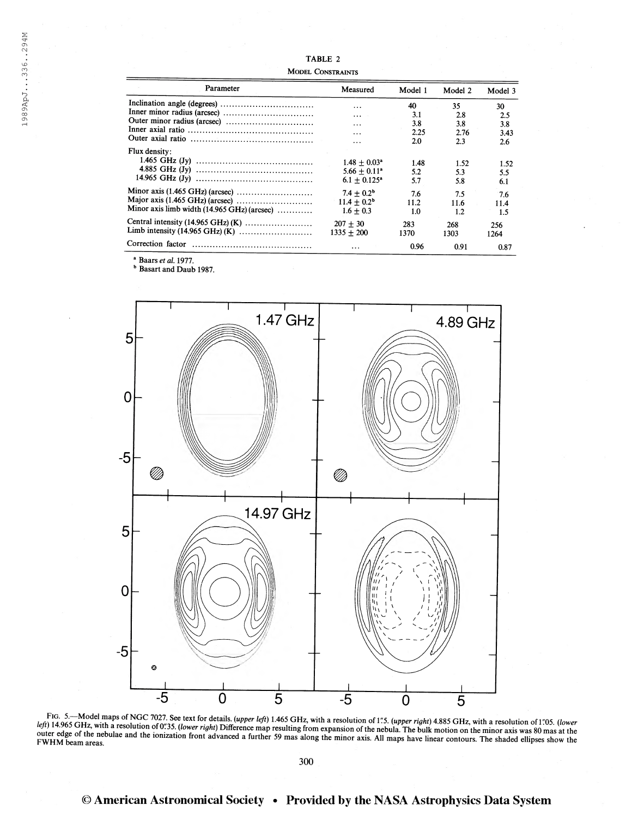| Parameter                                   | Measured                   | Model 1 | Model 2 | Model 3 |
|---------------------------------------------|----------------------------|---------|---------|---------|
|                                             | $\cdots$                   | 40      | 35.     | 30      |
|                                             | $\cdots$                   | 3.1     | 2.8     | 2.5     |
|                                             | $\cdots$                   | 3.8     | 3.8     | 3.8     |
|                                             | .                          | 2.25    | 2.76    | 3.43    |
|                                             | .                          | 2.0     | 2.3     | 2.6     |
| Flux density:                               |                            |         |         |         |
|                                             | $1.48 + 0.03^*$            | 1.48    | 1.52    | 1.52    |
|                                             | $5.66 + 0.11$ <sup>a</sup> | 5.2     | 5.3     | 5.5     |
|                                             | $6.1 + 0.125$ <sup>*</sup> | 5.7     | 5.8     | 6.1     |
|                                             | $7.4 + 0.2b$               | 7.6     | 7.5     | 7.6     |
|                                             | $11.4 + 0.2b$              | 11.2    | 11.6    | 11.4    |
| Minor axis limb width (14.965 GHz) (arcsec) | $1.6 + 0.3$                | 1.0     | 1.2     | 1.5     |
|                                             | $207 + 30$                 | 283     | 268     | 256     |
|                                             | $1335 + 200$               | 1370    | 1303    | 1264    |
| Correction factor                           | $\ddotsc$                  | 0.96    | 0.91    | 0.87    |

<sup>a</sup> Baars *et al.* 1977.<br><sup>b</sup> Basart and Daub 1987.



FIG. 5.—Model maps of NGC 7027. See text for details. (upper left) 1.465 GHz, with a resolution of 1"5. (upper right) 4.885 GHz, with a resolution of 1"05. (lower left) 14.965 GHz, with a resolution of 1"05. (lower left) 1

300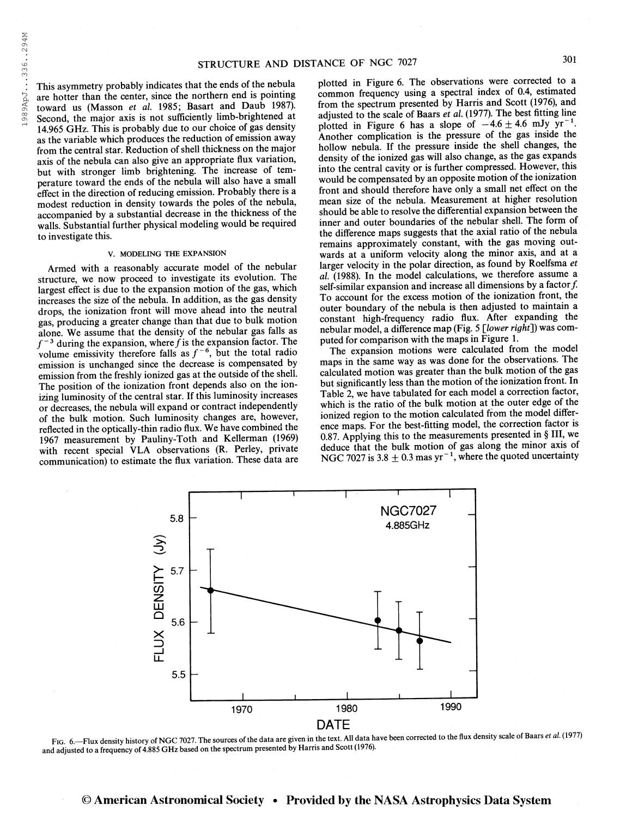This asymmetry probably indicates that the ends of the nebula are hotter than the center, since the northern end is pointing toward us (Masson et al. 1985; Basart and Daub 1987). Second, the major axis is not sufficiently limb-brightened at 14.965 GHz. This is probably due to our choice of gas density as the variable which produces the reduction of emission away from the central star. Reduction of shell thickness on the major axis of the nebula can also give an appropriate flux variation, but with stronger limb brightening. The increase of temperature toward the ends of the nebula will also have a small effect in the direction of reducing emission. Probably there is a modest reduction in density towards the poles of the nebula, accompanied by a substantial decrease in the thickness of the walls. Substantial further physical modeling would be required to investigate this.

#### V. MODELING THE EXPANSION

Armed with a reasonably accurate model of the nebular structure, we now proceed to investigate its evolution. The largest effect is due to the expansion motion of the gas, which increases the size of the nebula. In addition, as the gas density drops, the ionization front will move ahead into the neutral gas, producing a greater change than that due to bulk motion alone. We assume that the density of the nebular gas falls as alone. We assume that the density of the nebular gas lails as  $f^{-3}$  during the expansion, where f is the expansion factor. The volume emissivity therefore falls as  $f^{-6}$ , but the total radio emission is unchanged since the decrease is compensated by emission from the freshly ionized gas at the outside of the shell. The position of the ionization front depends also on the ionizing luminosity of the central star. If this luminosity increases or decreases, the nebula will expand or contract independently of the bulk motion. Such luminosity changes are, however, reflected in the optically-thin radio flux. We have combined the 1967 measurement by Pauliny-Toth and Kellerman (1969) with recent special VLA observations (R. Perley, private communication) to estimate the flux variation. These data are plotted in Figure 6. The observations were corrected to a common frequency using a spectral index of 0.4, estimated from the spectrum presented by Harris and Scott (1976), and adjusted to the scale of Baars et al. (1977). The best fitting line plotted in Figure 6 has a slope of  $-4.6 \pm 4.6$  mJy yr<sup>-1</sup>. Another complication is the pressure of the gas inside the hollow nebula. If the pressure inside the shell changes, the density of the ionized gas will also change, as the gas expands into the central cavity or is further compressed. However, this would be compensated by an opposite motion of the ionization front and should therefore have only a small net effect on the mean size of the nebula. Measurement at higher resolution should be able to resolve the differential expansion between the inner and outer boundaries of the nebular shell. The form of the difference maps suggests that the axial ratio of the nebula remains approximately constant, with the gas moving outwards at a uniform velocity along the minor axis, and at a larger velocity in the polar direction, as found by Roelfsma et al. (1988). In the model calculations, we therefore assume a self-similar expansion and increase all dimensions by a factor  $f$ . To account for the excess motion of the ionization front, the outer boundary of the nebula is then adjusted to maintain a constant high-frequency radio flux. After expanding the nebular model, a difference map (Fig. 5 [lower right]) was computed for comparison with the maps in Figure 1.

The expansion motions were calculated from the model maps in the same way as was done for the observations. The calculated motion was greater than the bulk motion of the gas but significantly less than the motion of the ionization front. In Table 2, we have tabulated for each model a correction factor, which is the ratio of the bulk motion at the outer edge of the ionized region to the motion calculated from the model difference maps. For the best-fitting model, the correction factor is 0.87. Applying this to the measurements presented in § III, we deduce that the bulk motion of gas along the minor axis of NGC 7027 is 3.8  $\pm$  0.3 mas yr<sup>-1</sup>, where the quoted uncertainty



FIG. 6.—Flux density history of NGC 7027. The sources of the data are given in the text. All data have been corrected to the flux density scale of Baars et al. (1977) and adjusted to a frequency of 4.885 GHz based on the s

301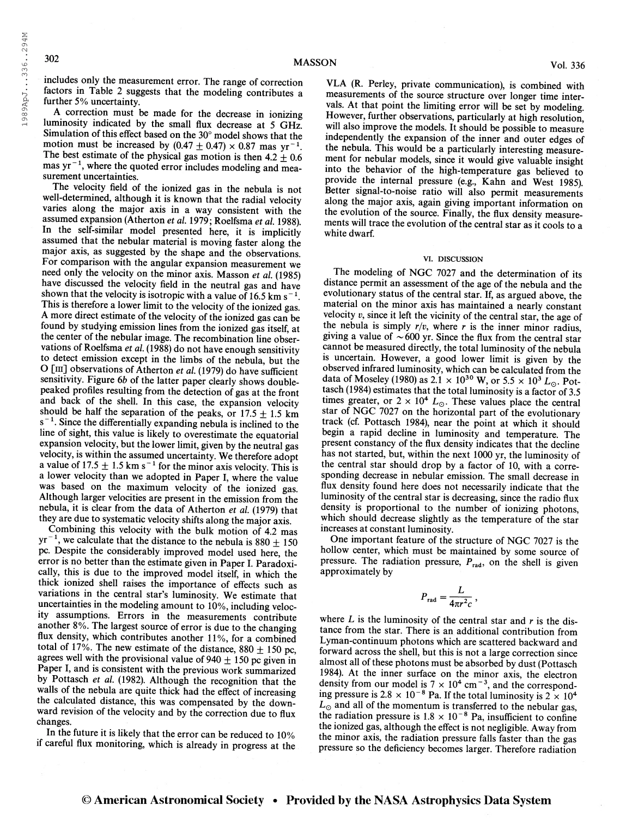198 9ApJ. . .336 . .294M

1989ApJ...336..294M

includes only the measurement error. The range of correction factors in Table 2 suggests that the modeling contributes a further 5% uncertainty.

A correction must be made for the decrease in ionizing luminosity indicated by the small flux decrease at 5 GHz. Simulation of this effect based on the 30° model shows that the motion must be increased by  $(0.47 + 0.47) \times 0.87$  mas yr<sup>-1</sup>. The best estimate of the physical gas motion is then  $4.2 \pm 0.6$ mas  $yr^{-1}$ , where the quoted error includes modeling and measurement uncertainties.

The velocity field of the ionized gas in the nebula is not well-determined, although it is known that the radial velocity varies along the major axis in a way consistent with the assumed expansion (Atherton et al. 1979; Roelfsma et al. 1988). In the self-similar model presented here, it is implicitly assumed that the nebular material is moving faster along the major axis, as suggested by the shape and the observations. For comparison with the angular expansion measurement we need only the velocity on the minor axis. Masson et al.  $(1985)$ have discussed the velocity field in the neutral gas and have shown that the velocity is isotropic with a value of 16.5 km s<sup>-1</sup>. This is therefore a lower limit to the velocity of the ionized gas. A more direct estimate of the velocity of the ionized gas can be found by studying emission lines from the ionized gas itself, at the center of the nebular image. The recombination line observations of Roelfsma et al. (1988) do not have enough sensitivity to detect emission except in the limbs of the nebula, but the O [m] observations of Atherton et al (1979) do have sufficient sensitivity. Figure 6b of the latter paper clearly shows doublepeaked profiles resulting from the detection of gas at the front and back of the shell. In this case, the expansion velocity should be half the separation of the peaks, or  $17.5 \pm 1.5$  km  $s^{-1}$ . Since the differentially expanding nebula is inclined to the line of sight, this value is likely to overestimate the equatorial expansion velocity, but the lower limit, given by the neutral gas velocity, is within the assumed uncertainty. We therefore adopt vectory, is whill the assumed uncertainty. We therefore adopt<br>a value of  $17.5 \pm 1.5$  km s<sup> $-1$ </sup> for the minor axis velocity. This is a lower velocity than we adopted in Paper I, where the value was based on the maximum velocity of the ionized gas. Although larger velocities are present in the emission from the nebula, it is clear from the data of Atherton et al (1979) that they are due to systematic velocity shifts along the major axis.

Combining this velocity with the bulk motion of 4.2 mas  $yr^{-1}$ , we calculate that the distance to the nebula is 880  $\pm$  150 pc. Despite the considerably improved model used here, the error is no better than the estimate given in Paper I. Paradoxically, this is due to the improved model itself, in which the thick ionized shell raises the importance of effects such as variations in the central star's luminosity. We estimate that uncertainties in the modeling amount to 10%, including velocity assumptions. Errors in the measurements contribute another 8%. The largest source of error is due to the changing flux density, which contributes another 11%, for a combined total of 17%. The new estimate of the distance, 880  $\pm$  150 pc, agrees well with the provisional value of 940  $\pm$  150 pc given in Paper I, and is consistent with the previous work summarized by Pottasch et al. (1982). Although the recognition that the walls of the nebula are quite thick had the effect of increasing the calculated distance, this was compensated by the downward revision of the velocity and by the correction due to flux changes.

In the future it is likely that the error can be reduced to 10% if careful flux monitoring, which is already in progress at the

VLA (R. Perley, private communication), is combined with measurements of the source structure over longer time intervals. At that point the limiting error will be set by modeling. However, further observations, particularly at high resolution, will also improve the models. It should be possible to measure independently the expansion of the inner and outer edges of the nebula. This would be a particularly interesting measurement for nebular models, since it would give valuable insight into the behavior of the high-temperature gas believed to provide the internal pressure (e.g., Kahn and West 1985). Better signal-to-noise ratio will also permit measurements along the major axis, again giving important information on the evolution of the source. Finally, the flux density measurements will trace the evolution of the central star as it cools to a white dwarf.

#### VI. DISCUSSION

The modeling of NGC 7027 and the determination of its distance permit an assessment of the age of the nebula and the evolutionary status of the central star. If, as argued above, the material on the minor axis has maintained a nearly constant velocity  $v$ , since it left the vicinity of the central star, the age of the nebula is simply  $r/v$ , where r is the inner minor radius, giving a value of  $\sim$  600 yr. Since the flux from the central star cannot be measured directly, the total luminosity of the nebula is uncertain. However, a good lower limit is given by the observed infrared luminosity, which can be calculated from the data of Moseley (1980) as 2.1  $\times$  10<sup>30</sup> W, or 5.5  $\times$  10<sup>3</sup> L<sub>o</sub>. Pottasch (1984) estimates that the total luminosity is a factor of 3.5 times greater, or  $2 \times 10^4$   $L_{\odot}$ . These values place the central star of NGC 7027 on the horizontal part of the evolutionary track (cf. Pottasch 1984), near the point at which it should begin a rapid decline in luminosity and temperature. The present constancy of the flux density indicates that the decline has not started, but, within the next 1000 yr, the luminosity of the central star should drop by a factor of 10, with a corresponding decrease in nebular emission. The small decrease in flux density found here does not necessarily indicate that the luminosity of the central star is decreasing, since the radio flux density is proportional to the number of ionizing photons, which should decrease slightly as the temperature of the star increases at constant luminosity.

One important feature of the structure of NGC 7027 is the hollow center, which must be maintained by some source of pressure. The radiation pressure,  $P_{rad}$ , on the shell is given approximately by

$$
P_{\rm rad} = \frac{L}{4\pi r^2 c} \,,
$$

where  $L$  is the luminosity of the central star and  $r$  is the distance from the star. There is an additional contribution from Lyman-continuum photons which are scattered backward and forward across the shell, but this is not a large correction since almost all of these photons must be absorbed by dust (Pottasch 1984). At the inner surface on the minor axis, the electron 1984). At the inner surface on the minor axis, the electron density from our model is  $7 \times 10^4$  cm<sup>-3</sup>, and the correspondthe state is  $2.8 \times 10^{-8}$  Pa. If the total luminosity is  $2 \times 10^{4}$  $L_{\odot}$  and all of the momentum is transferred to the nebular gas,  $\omega_0$  and an of the momentum is transferred to the neoular gas,<br>the radiation pressure is  $1.8 \times 10^{-8}$  Pa, insufficient to confine the ionized gas, although the effect is not negligible. Away from the minor axis, the radiation pressure falls faster than the gas pressure so the deficiency becomes larger. Therefore radiation